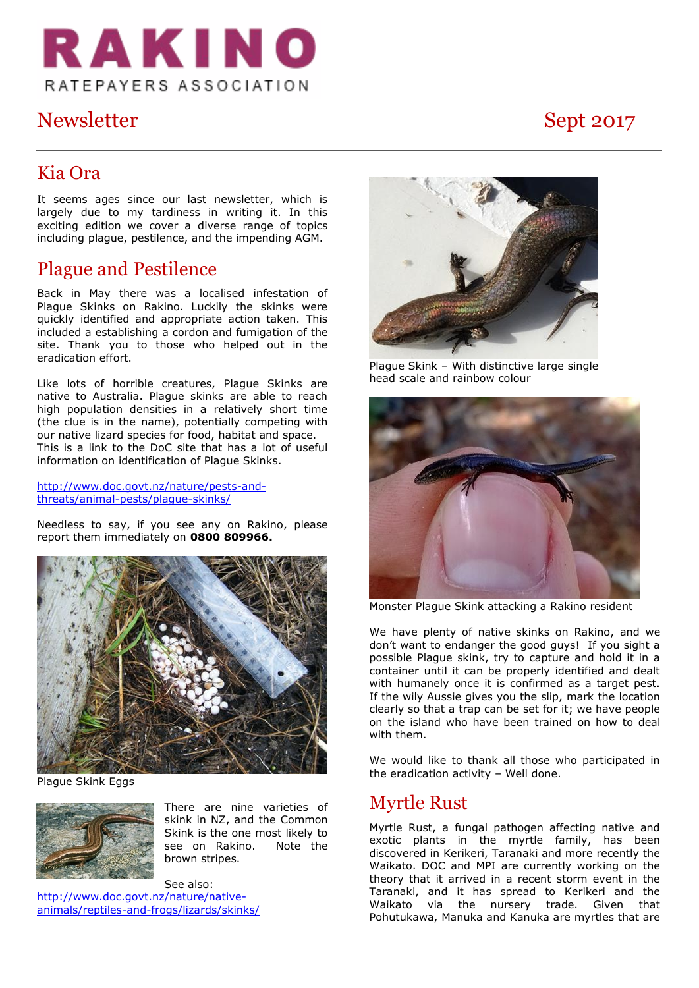

# Newsletter Sept 2017

### Kia Ora

It seems ages since our last newsletter, which is largely due to my tardiness in writing it. In this exciting edition we cover a diverse range of topics including plague, pestilence, and the impending AGM.

## Plague and Pestilence

Back in May there was a localised infestation of Plague Skinks on Rakino. Luckily the skinks were quickly identified and appropriate action taken. This included a establishing a cordon and fumigation of the site. Thank you to those who helped out in the eradication effort.

Like lots of horrible creatures, Plague Skinks are native to Australia. Plague skinks are able to reach high population densities in a relatively short time (the clue is in the name), potentially competing with our native lizard species for food, habitat and space. This is a link to the DoC site that has a lot of useful information on identification of Plague Skinks.

[http://www.doc.govt.nz/nature/pests-and](http://www.doc.govt.nz/nature/pests-and-threats/animal-pests/plague-skinks/)[threats/animal-pests/plague-skinks/](http://www.doc.govt.nz/nature/pests-and-threats/animal-pests/plague-skinks/)

Needless to say, if you see any on Rakino, please report them immediately on **0800 809966.**



Plague Skink Eggs



There are nine varieties of skink in NZ, and the Common Skink is the one most likely to see on Rakino. Note the brown stripes.

See also: [http://www.doc.govt.nz/nature/native](http://www.doc.govt.nz/nature/native-animals/reptiles-and-frogs/lizards/skinks/)[animals/reptiles-and-frogs/lizards/skinks/](http://www.doc.govt.nz/nature/native-animals/reptiles-and-frogs/lizards/skinks/)



Plague Skink - With distinctive large single head scale and rainbow colour



Monster Plague Skink attacking a Rakino resident

We have plenty of native skinks on Rakino, and we don't want to endanger the good guys! If you sight a possible Plague skink, try to capture and hold it in a container until it can be properly identified and dealt with humanely once it is confirmed as a target pest. If the wily Aussie gives you the slip, mark the location clearly so that a trap can be set for it; we have people on the island who have been trained on how to deal with them.

We would like to thank all those who participated in the eradication activity – Well done.

### Myrtle Rust

Myrtle Rust, a fungal pathogen affecting native and exotic plants in the myrtle family, has been discovered in Kerikeri, Taranaki and more recently the Waikato. DOC and MPI are currently working on the theory that it arrived in a recent storm event in the Taranaki, and it has spread to Kerikeri and the Waikato via the nursery trade. Given that Pohutukawa, Manuka and Kanuka are myrtles that are